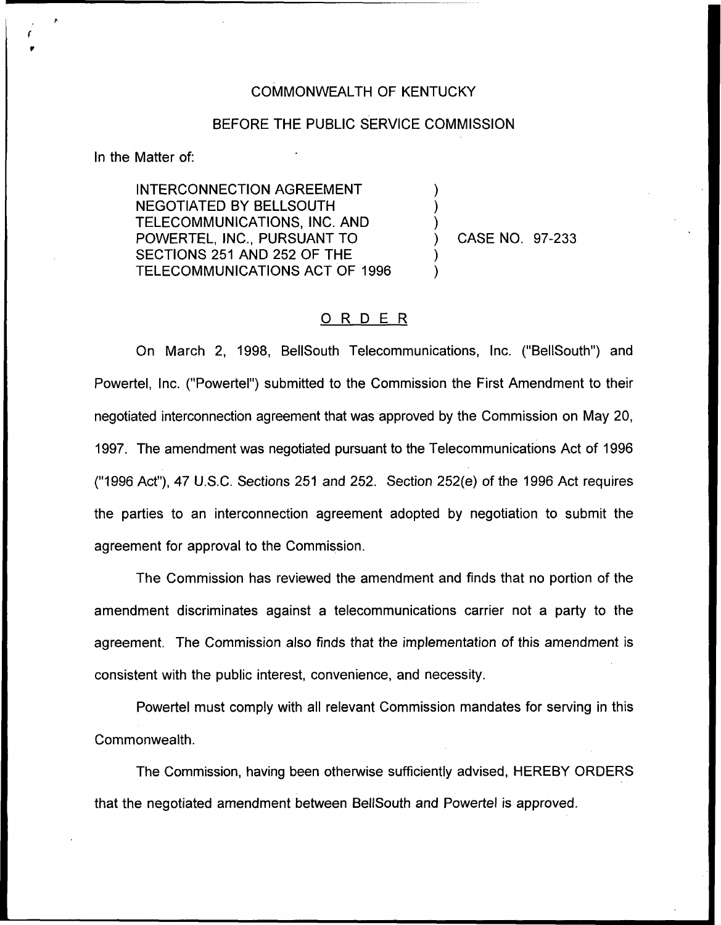## COMMONWEALTH OF KENTUCKY

## BEFORE THE PUBLIC SERVICE COMMISSION

) ) )

) )

In the Matter of:

INTERCONNECTION AGREEMENT NEGOTIATED BY BELLSOUTH TELECOMMUNICATIONS, INC. AND POWERTEL, INC., PURSUANT TO SECTIONS 251 AND 252 OF THE TELECOMMUNICATIONS ACT OF 1996

) CASE NO. 97-233

## ORDER

On March 2, 1998, BellSouth Telecommunications, Inc. ("BellSouth") and Powertel, Inc. ("Powertel") submitted to the Commission the First Amendment to their negotiated interconnection agreement that was approved by the Commission on May 20, 1997. The amendment was negotiated pursuant to the Telecommunications Act of 1996 ("1996Act"), 47 U.S,C. Sections 251 and 252. Section 252(e) of the 1996 Act requires the parties to an interconnection agreement adopted by negotiation to submit the agreement for approval to the Commission.

The Commission has reviewed the amendment and finds that no portion of the amendment discriminates against a telecommunications carrier not a party to the agreement. The Commission also finds that the implementation of this amendment is consistent with the public interest, convenience, and necessity.

Powertel must comply with all relevant Commission mandates for serving in this Commonwealth.

The Commission, having been otherwise sufficiently advised, HEREBY ORDERS that the negotiated amendment between BellSouth and Powertel is approved.